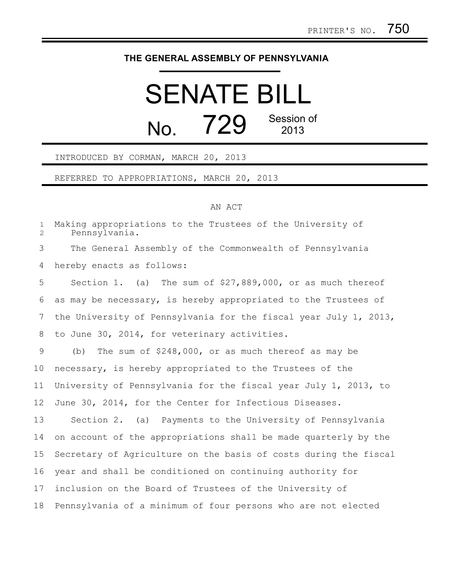## **THE GENERAL ASSEMBLY OF PENNSYLVANIA**

## SENATE BILL  $N<sub>0</sub>$  729 Session of 2013

## INTRODUCED BY CORMAN, MARCH 20, 2013

REFERRED TO APPROPRIATIONS, MARCH 20, 2013

## AN ACT

Making appropriations to the Trustees of the University of Pennsylvania. The General Assembly of the Commonwealth of Pennsylvania hereby enacts as follows: Section 1. (a) The sum of \$27,889,000, or as much thereof as may be necessary, is hereby appropriated to the Trustees of the University of Pennsylvania for the fiscal year July 1, 2013, to June 30, 2014, for veterinary activities. (b) The sum of \$248,000, or as much thereof as may be necessary, is hereby appropriated to the Trustees of the University of Pennsylvania for the fiscal year July 1, 2013, to June 30, 2014, for the Center for Infectious Diseases. Section 2. (a) Payments to the University of Pennsylvania on account of the appropriations shall be made quarterly by the Secretary of Agriculture on the basis of costs during the fiscal year and shall be conditioned on continuing authority for inclusion on the Board of Trustees of the University of Pennsylvania of a minimum of four persons who are not elected 1 2 3 4 5 6 7 8 9 10 11 12 13 14 15 16 17 18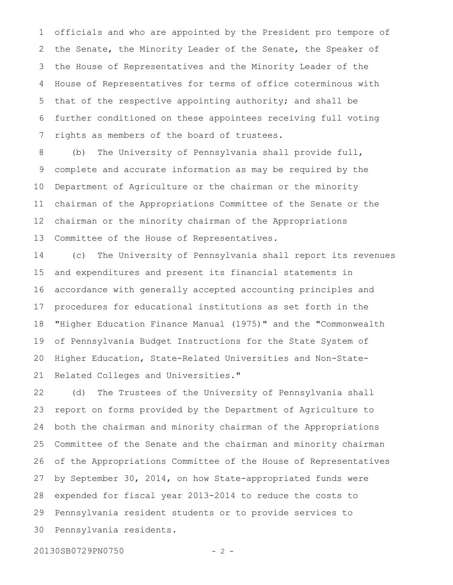officials and who are appointed by the President pro tempore of the Senate, the Minority Leader of the Senate, the Speaker of the House of Representatives and the Minority Leader of the House of Representatives for terms of office coterminous with that of the respective appointing authority; and shall be further conditioned on these appointees receiving full voting rights as members of the board of trustees. 1 2 3 4 5 6 7

(b) The University of Pennsylvania shall provide full, complete and accurate information as may be required by the Department of Agriculture or the chairman or the minority chairman of the Appropriations Committee of the Senate or the chairman or the minority chairman of the Appropriations Committee of the House of Representatives. 8 9 10 11 12 13

(c) The University of Pennsylvania shall report its revenues and expenditures and present its financial statements in accordance with generally accepted accounting principles and procedures for educational institutions as set forth in the "Higher Education Finance Manual (1975)" and the "Commonwealth of Pennsylvania Budget Instructions for the State System of Higher Education, State-Related Universities and Non-State-Related Colleges and Universities." 14 15 16 17 18 19 20 21

(d) The Trustees of the University of Pennsylvania shall report on forms provided by the Department of Agriculture to both the chairman and minority chairman of the Appropriations Committee of the Senate and the chairman and minority chairman of the Appropriations Committee of the House of Representatives by September 30, 2014, on how State-appropriated funds were expended for fiscal year 2013-2014 to reduce the costs to Pennsylvania resident students or to provide services to Pennsylvania residents. 22 23 24 25 26 27 28 29 30

20130SB0729PN0750 - 2 -